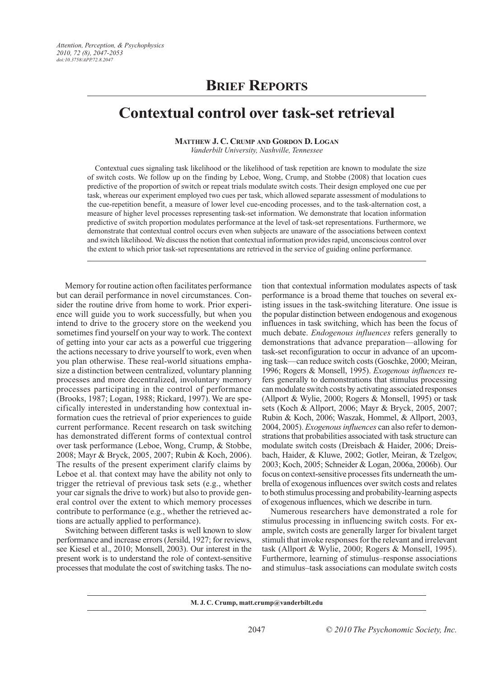## **Brief Reports**

# **Contextual control over task-set retrieval**

**Matthew J. C. Crump and Gordon D. Logan** *Vanderbilt University, Nashville, Tennessee*

Contextual cues signaling task likelihood or the likelihood of task repetition are known to modulate the size of switch costs. We follow up on the finding by Leboe, Wong, Crump, and Stobbe (2008) that location cues predictive of the proportion of switch or repeat trials modulate switch costs. Their design employed one cue per task, whereas our experiment employed two cues per task, which allowed separate assessment of modulations to the cue-repetition benefit, a measure of lower level cue-encoding processes, and to the task-alternation cost, a measure of higher level processes representing task-set information. We demonstrate that location information predictive of switch proportion modulates performance at the level of task-set representations. Furthermore, we demonstrate that contextual control occurs even when subjects are unaware of the associations between context and switch likelihood. We discuss the notion that contextual information provides rapid, unconscious control over the extent to which prior task-set representations are retrieved in the service of guiding online performance.

Memory for routine action often facilitates performance but can derail performance in novel circumstances. Consider the routine drive from home to work. Prior experience will guide you to work successfully, but when you intend to drive to the grocery store on the weekend you sometimes find yourself on your way to work. The context of getting into your car acts as a powerful cue triggering the actions necessary to drive yourself to work, even when you plan otherwise. These real-world situations emphasize a distinction between centralized, voluntary planning processes and more decentralized, involuntary memory processes participating in the control of performance (Brooks, 1987; Logan, 1988; Rickard, 1997). We are specifically interested in understanding how contextual information cues the retrieval of prior experiences to guide current performance. Recent research on task switching has demonstrated different forms of contextual control over task performance (Leboe, Wong, Crump, & Stobbe, 2008; Mayr & Bryck, 2005, 2007; Rubin & Koch, 2006). The results of the present experiment clarify claims by Leboe et al. that context may have the ability not only to trigger the retrieval of previous task sets (e.g., whether your car signals the drive to work) but also to provide general control over the extent to which memory processes contribute to performance (e.g., whether the retrieved actions are actually applied to performance).

Switching between different tasks is well known to slow performance and increase errors (Jersild, 1927; for reviews, see Kiesel et al., 2010; Monsell, 2003). Our interest in the present work is to understand the role of context-sensitive processes that modulate the cost of switching tasks. The no-

tion that contextual information modulates aspects of task performance is a broad theme that touches on several existing issues in the task-switching literature. One issue is the popular distinction between endogenous and exogenous influences in task switching, which has been the focus of much debate. *Endogenous influences* refers generally to demonstrations that advance preparation—allowing for task-set reconfiguration to occur in advance of an upcoming task—can reduce switch costs (Goschke, 2000; Meiran, 1996; Rogers & Monsell, 1995). *Exogenous influences* refers generally to demonstrations that stimulus processing can modulate switch costs by activating associated responses (Allport & Wylie, 2000; Rogers & Monsell, 1995) or task sets (Koch & Allport, 2006; Mayr & Bryck, 2005, 2007; Rubin & Koch, 2006; Waszak, Hommel, & Allport, 2003, 2004, 2005). *Exogenous influences* can also refer to demonstrations that probabilities associated with task structure can modulate switch costs (Dreisbach & Haider, 2006; Dreisbach, Haider, & Kluwe, 2002; Gotler, Meiran, & Tzelgov, 2003; Koch, 2005; Schneider & Logan, 2006a, 2006b). Our focus on context-sensitive processes fits underneath the umbrella of exogenous influences over switch costs and relates to both stimulus processing and probability-learning aspects of exogenous influences, which we describe in turn.

Numerous researchers have demonstrated a role for stimulus processing in influencing switch costs. For example, switch costs are generally larger for bivalent target stimuli that invoke responses for the relevant and irrelevant task (Allport & Wylie, 2000; Rogers & Monsell, 1995). Furthermore, learning of stimulus–response associations and stimulus–task associations can modulate switch costs

**M. J. C. Crump, matt.crump@vanderbilt.edu**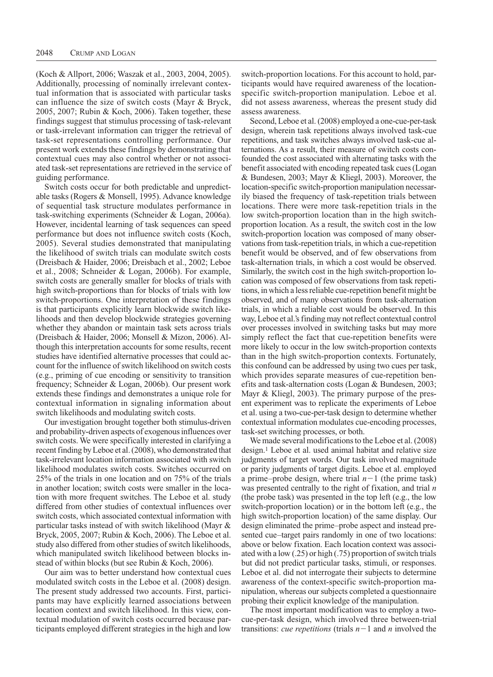(Koch & Allport, 2006; Waszak et al., 2003, 2004, 2005). Additionally, processing of nominally irrelevant contextual information that is associated with particular tasks can influence the size of switch costs (Mayr & Bryck, 2005, 2007; Rubin & Koch, 2006). Taken together, these findings suggest that stimulus processing of task-relevant or task-irrelevant information can trigger the retrieval of task-set representations controlling performance. Our present work extends these findings by demonstrating that contextual cues may also control whether or not associated task-set representations are retrieved in the service of guiding performance.

Switch costs occur for both predictable and unpredictable tasks (Rogers & Monsell, 1995). Advance knowledge of sequential task structure modulates performance in task-switching experiments (Schneider & Logan, 2006a). However, incidental learning of task sequences can speed performance but does not influence switch costs (Koch, 2005). Several studies demonstrated that manipulating the likelihood of switch trials can modulate switch costs (Dreisbach & Haider, 2006; Dreisbach et al., 2002; Leboe et al., 2008; Schneider & Logan, 2006b). For example, switch costs are generally smaller for blocks of trials with high switch-proportions than for blocks of trials with low switch-proportions. One interpretation of these findings is that participants explicitly learn blockwide switch likelihoods and then develop blockwide strategies governing whether they abandon or maintain task sets across trials (Dreisbach & Haider, 2006; Monsell & Mizon, 2006). Although this interpretation accounts for some results, recent studies have identified alternative processes that could account for the influence of switch likelihood on switch costs (e.g., priming of cue encoding or sensitivity to transition frequency; Schneider & Logan, 2006b). Our present work extends these findings and demonstrates a unique role for contextual information in signaling information about switch likelihoods and modulating switch costs.

Our investigation brought together both stimulus-driven and probability-driven aspects of exogenous influences over switch costs. We were specifically interested in clarifying a recent finding by Leboe et al. (2008), who demonstrated that task-irrelevant location information associated with switch likelihood modulates switch costs. Switches occurred on 25% of the trials in one location and on 75% of the trials in another location; switch costs were smaller in the location with more frequent switches. The Leboe et al. study differed from other studies of contextual influences over switch costs, which associated contextual information with particular tasks instead of with switch likelihood (Mayr & Bryck, 2005, 2007; Rubin & Koch, 2006). The Leboe et al. study also differed from other studies of switch likelihoods, which manipulated switch likelihood between blocks instead of within blocks (but see Rubin & Koch, 2006).

Our aim was to better understand how contextual cues modulated switch costs in the Leboe et al. (2008) design. The present study addressed two accounts. First, participants may have explicitly learned associations between location context and switch likelihood. In this view, contextual modulation of switch costs occurred because participants employed different strategies in the high and low switch-proportion locations. For this account to hold, participants would have required awareness of the locationspecific switch-proportion manipulation. Leboe et al. did not assess awareness, whereas the present study did assess awareness.

Second, Leboe et al. (2008) employed a one-cue-per-task design, wherein task repetitions always involved task-cue repetitions, and task switches always involved task-cue alternations. As a result, their measure of switch costs confounded the cost associated with alternating tasks with the benefit associated with encoding repeated task cues (Logan & Bundesen, 2003; Mayr & Kliegl, 2003). Moreover, the location-specific switch-proportion manipulation necessarily biased the frequency of task-repetition trials between locations. There were more task-repetition trials in the low switch-proportion location than in the high switchproportion location. As a result, the switch cost in the low switch-proportion location was composed of many observations from task-repetition trials, in which a cue-repetition benefit would be observed, and of few observations from task-alternation trials, in which a cost would be observed. Similarly, the switch cost in the high switch-proportion location was composed of few observations from task repetitions, in which a less reliable cue-repetition benefit might be observed, and of many observations from task-alternation trials, in which a reliable cost would be observed. In this way, Leboe et al.'s finding may not reflect contextual control over processes involved in switching tasks but may more simply reflect the fact that cue-repetition benefits were more likely to occur in the low switch-proportion contexts than in the high switch-proportion contexts. Fortunately, this confound can be addressed by using two cues per task, which provides separate measures of cue-repetition benefits and task-alternation costs (Logan & Bundesen, 2003; Mayr & Kliegl, 2003). The primary purpose of the present experiment was to replicate the experiments of Leboe et al. using a two-cue-per-task design to determine whether contextual information modulates cue-encoding processes, task-set switching processes, or both.

We made several modifications to the Leboe et al. (2008) design.1 Leboe et al. used animal habitat and relative size judgments of target words. Our task involved magnitude or parity judgments of target digits. Leboe et al. employed a prime–probe design, where trial  $n-1$  (the prime task) was presented centrally to the right of fixation, and trial *n* (the probe task) was presented in the top left (e.g., the low switch-proportion location) or in the bottom left (e.g., the high switch-proportion location) of the same display. Our design eliminated the prime–probe aspect and instead presented cue–target pairs randomly in one of two locations: above or below fixation. Each location context was associated with a low (.25) or high (.75) proportion of switch trials but did not predict particular tasks, stimuli, or responses. Leboe et al. did not interrogate their subjects to determine awareness of the context-specific switch-proportion manipulation, whereas our subjects completed a questionnaire probing their explicit knowledge of the manipulation.

The most important modification was to employ a twocue-per-task design, which involved three between-trial transitions: *cue repetitions* (trials  $n-1$  and  $n$  involved the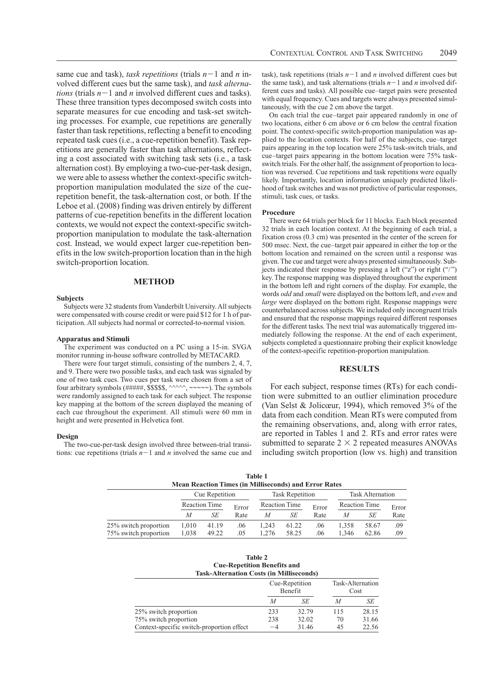same cue and task), *task repetitions* (trials  $n-1$  and  $n$  involved different cues but the same task), and *task alternations* (trials  $n-1$  and *n* involved different cues and tasks). These three transition types decomposed switch costs into separate measures for cue encoding and task-set switching processes. For example, cue repetitions are generally faster than task repetitions, reflecting a benefit to encoding repeated task cues (i.e., a cue-repetition benefit). Task repetitions are generally faster than task alternations, reflecting a cost associated with switching task sets (i.e., a task alternation cost). By employing a two-cue-per-task design, we were able to assess whether the context-specific switchproportion manipulation modulated the size of the cuerepetition benefit, the task-alternation cost, or both. If the Leboe et al. (2008) finding was driven entirely by different patterns of cue-repetition benefits in the different location contexts, we would not expect the context-specific switchproportion manipulation to modulate the task-alternation cost. Instead, we would expect larger cue-repetition benefits in the low switch-proportion location than in the high switch-proportion location.

## **Method**

#### **Subjects**

Subjects were 32 students from Vanderbilt University. All subjects were compensated with course credit or were paid \$12 for 1 h of participation. All subjects had normal or corrected-to-normal vision.

## **Apparatus and Stimuli**

The experiment was conducted on a PC using a 15-in. SVGA monitor running in-house software controlled by METACARD.

There were four target stimuli, consisting of the numbers 2, 4, 7, and 9. There were two possible tasks, and each task was signaled by one of two task cues. Two cues per task were chosen from a set of four arbitrary symbols  $(\# \# \# \#$ , \$\$\$\$\$, ^^^^^, ~~~~~). The symbols were randomly assigned to each task for each subject. The response key mapping at the bottom of the screen displayed the meaning of each cue throughout the experiment. All stimuli were 60 mm in height and were presented in Helvetica font.

#### **Design**

The two-cue-per-task design involved three between-trial transitions: cue repetitions (trials  $n-1$  and  $n$  involved the same cue and task), task repetitions (trials  $n-1$  and *n* involved different cues but the same task), and task alternations (trials  $n-1$  and  $n$  involved different cues and tasks). All possible cue–target pairs were presented with equal frequency. Cues and targets were always presented simultaneously, with the cue 2 cm above the target.

On each trial the cue–target pair appeared randomly in one of two locations, either 6 cm above or 6 cm below the central fixation point. The context-specific switch-proportion manipulation was applied to the location contexts. For half of the subjects, cue–target pairs appearing in the top location were 25% task-switch trials, and cue–target pairs appearing in the bottom location were 75% taskswitch trials. For the other half, the assignment of proportion to location was reversed. Cue repetitions and task repetitions were equally likely. Importantly, location information uniquely predicted likelihood of task switches and was not predictive of particular responses, stimuli, task cues, or tasks.

#### **Procedure**

There were 64 trials per block for 11 blocks. Each block presented 32 trials in each location context. At the beginning of each trial, a fixation cross (0.3 cm) was presented in the center of the screen for 500 msec. Next, the cue–target pair appeared in either the top or the bottom location and remained on the screen until a response was given. The cue and target were always presented simultaneously. Subjects indicated their response by pressing a left ("z") or right ("/") key. The response mapping was displayed throughout the experiment in the bottom left and right corners of the display. For example, the words *odd* and *small* were displayed on the bottom left, and *even* and *large* were displayed on the bottom right. Response mappings were counterbalanced across subjects. We included only incongruent trials and ensured that the response mappings required different responses for the different tasks. The next trial was automatically triggered immediately following the response. At the end of each experiment, subjects completed a questionnaire probing their explicit knowledge of the context-specific repetition-proportion manipulation.

## **Results**

For each subject, response times (RTs) for each condition were submitted to an outlier elimination procedure (Van Selst & Jolicœur, 1994), which removed 3% of the data from each condition. Mean RTs were computed from the remaining observations, and, along with error rates, are reported in Tables 1 and 2. RTs and error rates were submitted to separate  $2 \times 2$  repeated measures ANOVAs including switch proportion (low vs. high) and transition

| <b>Table 1</b><br><b>Mean Reaction Times (in Milliseconds) and Error Rates</b> |                      |       |       |                      |                        |       |                         |       |       |  |
|--------------------------------------------------------------------------------|----------------------|-------|-------|----------------------|------------------------|-------|-------------------------|-------|-------|--|
|                                                                                | Cue Repetition       |       |       |                      | <b>Task Repetition</b> |       | <b>Task Alternation</b> |       |       |  |
|                                                                                | <b>Reaction Time</b> |       | Error | <b>Reaction Time</b> |                        | Error | <b>Reaction Time</b>    |       | Error |  |
|                                                                                | М                    | SE    | Rate  | М                    | SE                     | Rate  | M                       | SЕ    | Rate  |  |
| 25% switch proportion                                                          | 1.010                | 41.19 | .06   | 1.243                | 61.22                  | .06   | 1.358                   | 58.67 | .09   |  |
| 75% switch proportion                                                          | 1.038                | 49.22 | .05   | 1.276                | 58.25                  | .06   | 1.346                   | 62.86 | .09   |  |

**Table 2 Cue-Repetition Benefits and Task-Alternation Costs (in Milliseconds)**

|                                           | Cue-Repetition<br>Benefit |       | Task-Alternation<br>Cost |       |  |
|-------------------------------------------|---------------------------|-------|--------------------------|-------|--|
|                                           | М                         | SE    | М                        | SE    |  |
| 25% switch proportion                     | 233                       | 32.79 | 115                      | 28.15 |  |
| 75% switch proportion                     | 238                       | 32.02 | 70                       | 31.66 |  |
| Context-specific switch-proportion effect | $-4$                      | 31.46 | 45                       | 22.56 |  |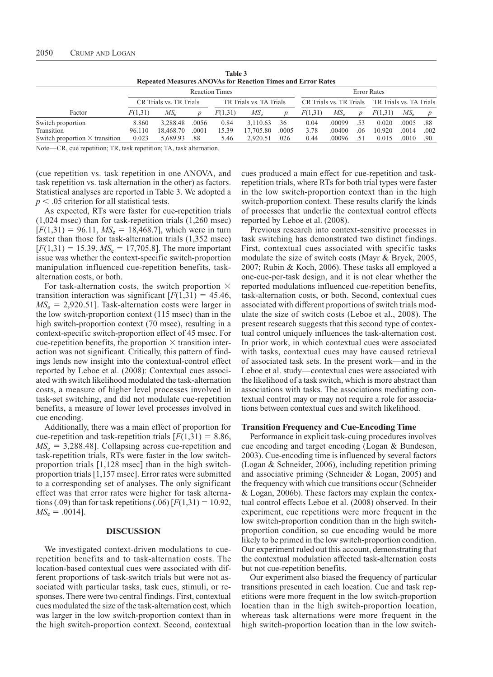| .<br><b>Repeated Measures ANOVAs for Reaction Times and Error Rates</b> |                         |           |       |                         |               |       |                         |        |     |                         |       |      |  |
|-------------------------------------------------------------------------|-------------------------|-----------|-------|-------------------------|---------------|-------|-------------------------|--------|-----|-------------------------|-------|------|--|
|                                                                         | <b>Reaction Times</b>   |           |       |                         |               |       | <b>Error Rates</b>      |        |     |                         |       |      |  |
|                                                                         | CR Trials vs. TR Trials |           |       | TR Trials vs. TA Trials |               |       | CR Trials vs. TR Trials |        |     | TR Trials vs. TA Trials |       |      |  |
| Factor                                                                  | F(1,31)                 | MS.       |       | F(1.31)                 | $MS_{\alpha}$ |       | F(1,31)                 | MS.    |     | F(1.31)                 | MS.   |      |  |
| Switch proportion                                                       | 8.860                   | 3.288.48  | .0056 | 0.84                    | 3.110.63      | .36   | 0.04                    | .00099 | .53 | 0.020                   | .0005 | .88  |  |
| Transition                                                              | 96.110                  | 18.468.70 | .0001 | 15.39                   | 17,705.80     | .0005 | 3.78                    | .00400 | .06 | 10.920                  | .0014 | .002 |  |
| Switch proportion $\times$ transition                                   | 0.023                   | 5.689.93  | .88   | 5.46                    | 2.920.51      | .026  | 0.44                    | .00096 | .51 | 0.015                   | .0010 | .90  |  |

**Table 3**

Note—CR, cue repetition; TR, task repetition; TA, task alternation.

(cue repetition vs. task repetition in one ANOVA, and task repetition vs. task alternation in the other) as factors. Statistical analyses are reported in Table 3. We adopted a  $p < .05$  criterion for all statistical tests.

As expected, RTs were faster for cue-repetition trials (1,024 msec) than for task-repetition trials (1,260 msec)  $[F(1,31) = 96.11, MS<sub>e</sub> = 18,468.7]$ , which were in turn faster than those for task-alternation trials (1,352 msec)  $[F(1,31) = 15.39, MS_e = 17,705.8]$ . The more important issue was whether the context-specific switch-proportion manipulation influenced cue-repetition benefits, taskalternation costs, or both.

For task-alternation costs, the switch proportion  $\times$ transition interaction was significant  $[F(1,31) = 45.46,$  $MS_e = 2,920.51$ ]. Task-alternation costs were larger in the low switch-proportion context (115 msec) than in the high switch-proportion context (70 msec), resulting in a context-specific switch-proportion effect of 45 msec. For cue-repetition benefits, the proportion  $\times$  transition interaction was not significant. Critically, this pattern of findings lends new insight into the contextual-control effect reported by Leboe et al. (2008): Contextual cues associated with switch likelihood modulated the task-alternation costs, a measure of higher level processes involved in task-set switching, and did not modulate cue-repetition benefits, a measure of lower level processes involved in cue encoding.

Additionally, there was a main effect of proportion for cue-repetition and task-repetition trials  $[F(1,31) = 8.86,$  $MS<sub>e</sub> = 3,288.48$ . Collapsing across cue-repetition and task-repetition trials, RTs were faster in the low switchproportion trials [1,128 msec] than in the high switchproportion trials [1,157 msec]. Error rates were submitted to a corresponding set of analyses. The only significant effect was that error rates were higher for task alternations (.09) than for task repetitions (.06)  $[F(1,31) = 10.92]$ ,  $MS_e = .0014$ .

#### **Discussion**

We investigated context-driven modulations to cuerepetition benefits and to task-alternation costs. The location-based contextual cues were associated with different proportions of task-switch trials but were not associated with particular tasks, task cues, stimuli, or responses. There were two central findings. First, contextual cues modulated the size of the task-alternation cost, which was larger in the low switch-proportion context than in the high switch-proportion context. Second, contextual

cues produced a main effect for cue-repetition and taskrepetition trials, where RTs for both trial types were faster in the low switch-proportion context than in the high switch-proportion context. These results clarify the kinds of processes that underlie the contextual control effects reported by Leboe et al. (2008).

Previous research into context-sensitive processes in task switching has demonstrated two distinct findings. First, contextual cues associated with specific tasks modulate the size of switch costs (Mayr & Bryck, 2005, 2007; Rubin & Koch, 2006). These tasks all employed a one-cue-per-task design, and it is not clear whether the reported modulations influenced cue-repetition benefits, task-alternation costs, or both. Second, contextual cues associated with different proportions of switch trials modulate the size of switch costs (Leboe et al., 2008). The present research suggests that this second type of contextual control uniquely influences the task-alternation cost. In prior work, in which contextual cues were associated with tasks, contextual cues may have caused retrieval of associated task sets. In the present work—and in the Leboe et al. study—contextual cues were associated with the likelihood of a task switch, which is more abstract than associations with tasks. The associations mediating contextual control may or may not require a role for associations between contextual cues and switch likelihood.

## **Transition Frequency and Cue-Encoding Time**

Performance in explicit task-cuing procedures involves cue encoding and target encoding (Logan & Bundesen, 2003). Cue-encoding time is influenced by several factors (Logan & Schneider, 2006), including repetition priming and associative priming (Schneider & Logan, 2005) and the frequency with which cue transitions occur (Schneider & Logan, 2006b). These factors may explain the contextual control effects Leboe et al. (2008) observed. In their experiment, cue repetitions were more frequent in the low switch-proportion condition than in the high switchproportion condition, so cue encoding would be more likely to be primed in the low switch-proportion condition. Our experiment ruled out this account, demonstrating that the contextual modulation affected task-alternation costs but not cue-repetition benefits.

Our experiment also biased the frequency of particular transitions presented in each location. Cue and task repetitions were more frequent in the low switch-proportion location than in the high switch-proportion location, whereas task alternations were more frequent in the high switch-proportion location than in the low switch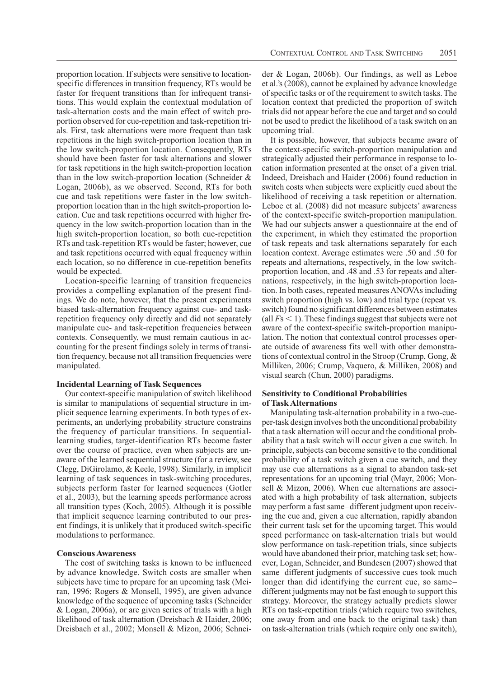proportion location. If subjects were sensitive to locationspecific differences in transition frequency, RTs would be faster for frequent transitions than for infrequent transitions. This would explain the contextual modulation of task-alternation costs and the main effect of switch proportion observed for cue-repetition and task-repetition trials. First, task alternations were more frequent than task repetitions in the high switch-proportion location than in the low switch-proportion location. Consequently, RTs should have been faster for task alternations and slower for task repetitions in the high switch-proportion location than in the low switch-proportion location (Schneider & Logan, 2006b), as we observed. Second, RTs for both cue and task repetitions were faster in the low switchproportion location than in the high switch-proportion location. Cue and task repetitions occurred with higher frequency in the low switch-proportion location than in the high switch-proportion location, so both cue-repetition RTs and task-repetition RTs would be faster; however, cue and task repetitions occurred with equal frequency within each location, so no difference in cue-repetition benefits would be expected.

Location-specific learning of transition frequencies provides a compelling explanation of the present findings. We do note, however, that the present experiments biased task-alternation frequency against cue- and taskrepetition frequency only directly and did not separately manipulate cue- and task-repetition frequencies between contexts. Consequently, we must remain cautious in accounting for the present findings solely in terms of transition frequency, because not all transition frequencies were manipulated.

## **Incidental Learning of Task Sequences**

Our context-specific manipulation of switch likelihood is similar to manipulations of sequential structure in implicit sequence learning experiments. In both types of experiments, an underlying probability structure constrains the frequency of particular transitions. In sequentiallearning studies, target-identification RTs become faster over the course of practice, even when subjects are unaware of the learned sequential structure (for a review, see Clegg, DiGirolamo, & Keele, 1998). Similarly, in implicit learning of task sequences in task-switching procedures, subjects perform faster for learned sequences (Gotler et al., 2003), but the learning speeds performance across all transition types (Koch, 2005). Although it is possible that implicit sequence learning contributed to our present findings, it is unlikely that it produced switch-specific modulations to performance.

#### **Conscious Awareness**

The cost of switching tasks is known to be influenced by advance knowledge. Switch costs are smaller when subjects have time to prepare for an upcoming task (Meiran, 1996; Rogers & Monsell, 1995), are given advance knowledge of the sequence of upcoming tasks (Schneider & Logan, 2006a), or are given series of trials with a high likelihood of task alternation (Dreisbach & Haider, 2006; Dreisbach et al., 2002; Monsell & Mizon, 2006; Schneider & Logan, 2006b). Our findings, as well as Leboe et al.'s (2008), cannot be explained by advance knowledge of specific tasks or of the requirement to switch tasks. The location context that predicted the proportion of switch trials did not appear before the cue and target and so could not be used to predict the likelihood of a task switch on an upcoming trial.

It is possible, however, that subjects became aware of the context-specific switch-proportion manipulation and strategically adjusted their performance in response to location information presented at the onset of a given trial. Indeed, Dreisbach and Haider (2006) found reduction in switch costs when subjects were explicitly cued about the likelihood of receiving a task repetition or alternation. Leboe et al. (2008) did not measure subjects' awareness of the context-specific switch-proportion manipulation. We had our subjects answer a questionnaire at the end of the experiment, in which they estimated the proportion of task repeats and task alternations separately for each location context. Average estimates were .50 and .50 for repeats and alternations, respectively, in the low switchproportion location, and .48 and .53 for repeats and alternations, respectively, in the high switch-proportion location. In both cases, repeated measures ANOVAs including switch proportion (high vs. low) and trial type (repeat vs. switch) found no significant differences between estimates (all  $Fs < 1$ ). These findings suggest that subjects were not aware of the context-specific switch-proportion manipulation. The notion that contextual control processes operate outside of awareness fits well with other demonstrations of contextual control in the Stroop (Crump, Gong, & Milliken, 2006; Crump, Vaquero, & Milliken, 2008) and visual search (Chun, 2000) paradigms.

## **Sensitivity to Conditional Probabilities of Task Alternations**

Manipulating task-alternation probability in a two-cueper-task design involves both the unconditional probability that a task alternation will occur and the conditional probability that a task switch will occur given a cue switch. In principle, subjects can become sensitive to the conditional probability of a task switch given a cue switch, and they may use cue alternations as a signal to abandon task-set representations for an upcoming trial (Mayr, 2006; Monsell & Mizon, 2006). When cue alternations are associated with a high probability of task alternation, subjects may perform a fast same–different judgment upon receiving the cue and, given a cue alternation, rapidly abandon their current task set for the upcoming target. This would speed performance on task-alternation trials but would slow performance on task-repetition trials, since subjects would have abandoned their prior, matching task set; however, Logan, Schneider, and Bundesen (2007) showed that same–different judgments of successive cues took much longer than did identifying the current cue, so same– different judgments may not be fast enough to support this strategy. Moreover, the strategy actually predicts slower RTs on task-repetition trials (which require two switches, one away from and one back to the original task) than on task-alternation trials (which require only one switch),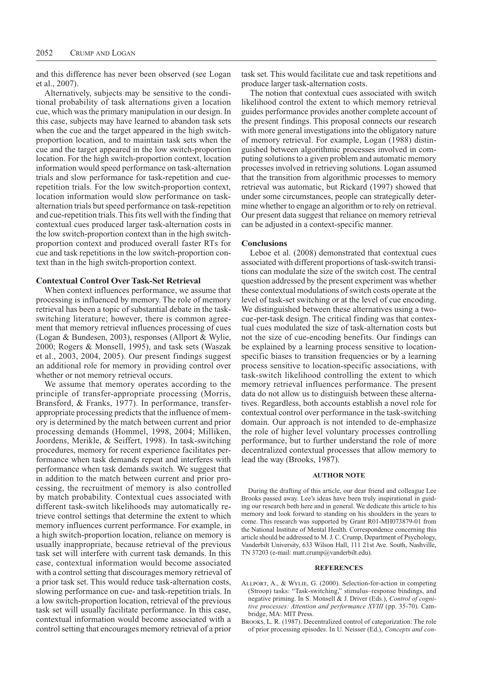and this difference has never been observed (see Logan et al., 2007).

Alternatively, subjects may be sensitive to the conditional probability of task alternations given a location cue, which was the primary manipulation in our design. In this case, subjects may have learned to abandon task sets when the cue and the target appeared in the high switchproportion location, and to maintain task sets when the cue and the target appeared in the low switch-proportion location. For the high switch-proportion context, location information would speed performance on task-alternation trials and slow performance for task-repetition and cuerepetition trials. For the low switch-proportion context, location information would slow performance on taskalternation trials but speed performance on task-repetition and cue-repetition trials. This fits well with the finding that contextual cues produced larger task-alternation costs in the low switch-proportion context than in the high switchproportion context and produced overall faster RTs for cue and task repetitions in the low switch-proportion context than in the high switch-proportion context.

## **Contextual Control Over Task-Set Retrieval**

When context influences performance, we assume that processing is influenced by memory. The role of memory retrieval has been a topic of substantial debate in the taskswitching literature; however, there is common agreement that memory retrieval influences processing of cues (Logan & Bundesen, 2003), responses (Allport & Wylie, 2000; Rogers & Monsell, 1995), and task sets (Waszak et al., 2003, 2004, 2005). Our present findings suggest an additional role for memory in providing control over whether or not memory retrieval occurs.

We assume that memory operates according to the principle of transfer-appropriate processing (Morris, Bransford, & Franks, 1977). In performance, transferappropriate processing predicts that the influence of memory is determined by the match between current and prior processing demands (Hommel, 1998, 2004; Milliken, Joordens, Merikle, & Seiffert, 1998). In task-switching procedures, memory for recent experience facilitates performance when task demands repeat and interferes with performance when task demands switch. We suggest that in addition to the match between current and prior processing, the recruitment of memory is also controlled by match probability. Contextual cues associated with different task-switch likelihoods may automatically retrieve control settings that determine the extent to which memory influences current performance. For example, in a high switch-proportion location, reliance on memory is usually inappropriate, because retrieval of the previous task set will interfere with current task demands. In this case, contextual information would become associated with a control setting that discourages memory retrieval of a prior task set. This would reduce task-alternation costs, slowing performance on cue- and task-repetition trials. In a low switch-proportion location, retrieval of the previous task set will usually facilitate performance. In this case, contextual information would become associated with a control setting that encourages memory retrieval of a prior

task set. This would facilitate cue and task repetitions and produce larger task-alternation costs.

The notion that contextual cues associated with switch likelihood control the extent to which memory retrieval guides performance provides another complete account of the present findings. This proposal connects our research with more general investigations into the obligatory nature of memory retrieval. For example, Logan (1988) distinguished between algorithmic processes involved in computing solutions to a given problem and automatic memory processes involved in retrieving solutions. Logan assumed that the transition from algorithmic processes to memory retrieval was automatic, but Rickard (1997) showed that under some circumstances, people can strategically determine whether to engage an algorithm or to rely on retrieval. Our present data suggest that reliance on memory retrieval can be adjusted in a context-specific manner.

#### **Conclusions**

Leboe et al. (2008) demonstrated that contextual cues associated with different proportions of task-switch transitions can modulate the size of the switch cost. The central question addressed by the present experiment was whether these contextual modulations of switch costs operate at the level of task-set switching or at the level of cue encoding. We distinguished between these alternatives using a twocue-per-task design. The critical finding was that contextual cues modulated the size of task-alternation costs but not the size of cue-encoding benefits. Our findings can be explained by a learning process sensitive to locationspecific biases to transition frequencies or by a learning process sensitive to location-specific associations, with task-switch likelihood controlling the extent to which memory retrieval influences performance. The present data do not allow us to distinguish between these alternatives. Regardless, both accounts establish a novel role for contextual control over performance in the task-switching domain. Our approach is not intended to de-emphasize the role of higher level voluntary processes controlling performance, but to further understand the role of more decentralized contextual processes that allow memory to lead the way (Brooks, 1987).

#### **Author Note**

During the drafting of this article, our dear friend and colleague Lee Brooks passed away. Lee's ideas have been truly inspirational in guiding our research both here and in general. We dedicate this article to his memory and look forward to standing on his shoulders in the years to come. This research was supported by Grant R01-MH073879-01 from the National Institute of Mental Health. Correspondence concerning this article should be addressed to M. J. C. Crump, Department of Psychology, Vanderbilt University, 633 Wilson Hall, 111 21st Ave. South, Nashville, TN 37203 (e-mail: matt.crump@vanderbilt.edu).

#### **References**

- Allport, A., & Wylie, G. (2000). Selection-for-action in competing (Stroop) tasks: "Task-switching," stimulus–response bindings, and negative priming. In S. Monsell & J. Driver (Eds.), *Control of cognitive processes: Attention and performance XVIII* (pp. 35-70). Cambridge, MA: MIT Press.
- Brooks, L. R. (1987). Decentralized control of categorization: The role of prior processing episodes. In U. Neisser (Ed.), *Concepts and con-*